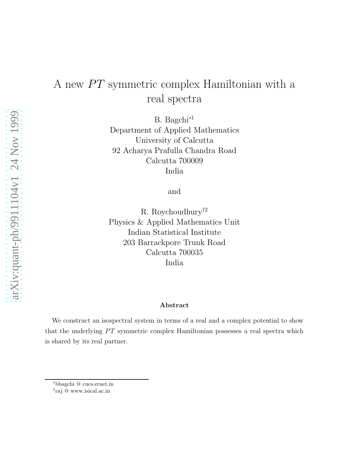## A new  $PT$  symmetric complex Hamiltonian with a real spectra

B. Bagchi<sup>∗</sup><sup>1</sup> Department of Applied Mathematics University of Calcutta 92 Acharya Prafulla Chandra Road Calcutta 700009 India

and

R. Roychoudhury†<sup>2</sup> Physics & Applied Mathematics Unit Indian Statistical Institute 203 Barrackpore Trunk Road Calcutta 700035 India

## Abstract

We construct an isospectral system in terms of a real and a complex potential to show that the underlying  $PT$  symmetric complex Hamiltonian possesses a real spectra which is shared by its real partner.

<sup>∗</sup>bbagchi @ cucs.ernet.in

<sup>†</sup> raj @ www.isical.ac.in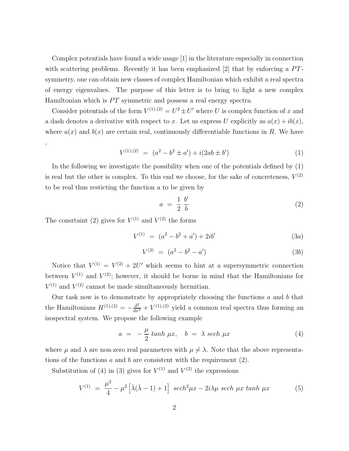Complex potentials have found a wide usage [1] in the literature especially in connection with scattering problems. Recently it has been emphasized [2] that by enforcing a  $PT$ symmetry, one can obtain new classes of complex Hamiltonian which exhibit a real spectra of energy eigenvalues. The purpose of this letter is to bring to light a new complex Hamiltonian which is  $PT$  symmetric and possess a real energy spectra.

Consider potentials of the form  $V^{(1),(2)} = U^2 \pm U'$  where U is complex function of x and a dash denotes a derivative with respect to x. Let us express U explicitly as  $a(x) + ib(x)$ , where  $a(x)$  and  $b(x)$  are certain real, continuously differentiable functions in R. We have ,

$$
V^{(1),(2)} = (a^2 - b^2 \pm a') + i(2ab \pm b')
$$
 (1)

In the following we investigate the possibility when one of the potentials defined by (1) is real but the other is complex. To this end we choose, for the sake of concreteness,  $V^{(2)}$ to be real thus resticting the function a to be given by

$$
a = \frac{1}{2} \frac{b'}{b} \tag{2}
$$

The consrtaint (2) gives for  $V^{(1)}$  and  $V^{(2)}$  the forms

$$
V^{(1)} = (a^2 - b^2 + a') + 2ib'
$$
\n(3a)

$$
V^{(2)} = (a^2 - b^2 - a') \tag{3b}
$$

Notice that  $V^{(1)} = V^{(2)} + 2U'$  which seems to hint at a supersymmetric connection between  $V^{(1)}$  and  $V^{(2)}$ ; however, it should be borne in mind that the Hamiltonians for  $V^{(1)}$  and  $V^{(2)}$  cannot be made simultaneously hermitian.

Our task now is to demonstrate by appropriately choosing the functions  $a$  and  $b$  that the Hamiltonians  $H^{(1),(2)} = -\frac{d^2}{dx^2} + V^{(1),(2)}$  yield a common real spectra thus forming an isospectral system. We propose the following example

$$
a = -\frac{\mu}{2} \tanh \mu x, \quad b = \lambda \sech \mu x \tag{4}
$$

where  $\mu$  and  $\lambda$  are non-zero real parameters with  $\mu \neq \lambda$ . Note that the above representations of the functions  $a$  and  $b$  are consistent with the requirement  $(2)$ .

Substitution of (4) in (3) gives for  $V^{(1)}$  and  $V^{(2)}$  the expressions

$$
V^{(1)} = \frac{\mu^2}{4} - \mu^2 \left[ \bar{\lambda} (\bar{\lambda} - 1) + 1 \right] \ sech^2 \mu x - 2i\lambda \mu \ sech \mu x \ tanh \mu x \tag{5}
$$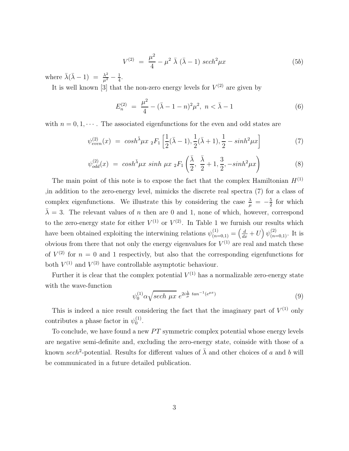$$
V^{(2)} = \frac{\mu^2}{4} - \mu^2 \bar{\lambda} (\bar{\lambda} - 1) \ sech^2 \mu x \tag{5b}
$$

where  $\bar{\lambda}(\bar{\lambda}-1) = \frac{\lambda^2}{\mu^2} - \frac{1}{4}$  $\frac{1}{4}$ .

It is well known [3] that the non-zero energy levels for  $V^{(2)}$  are given by

$$
E_n^{(2)} = \frac{\mu^2}{4} - (\bar{\lambda} - 1 - n)^2 \mu^2, \ n < \bar{\lambda} - 1 \tag{6}
$$

with  $n = 0, 1, \dots$ . The associated eigenfunctions for the even and odd states are

$$
\psi_{even}^{(2)}(x) = \cosh^{\bar{\lambda}} \mu x \, {}_{2}F_{1}\left[\frac{1}{2}(\bar{\lambda}-1), \frac{1}{2}(\bar{\lambda}+1), \frac{1}{2} - \sinh^{2} \mu x\right] \tag{7}
$$

$$
\psi_{odd}^{(2)}(x) \ = \ \cosh^{\bar{\lambda}} \mu x \ \sinh \ \mu x \ _2F_1\left(\frac{\bar{\lambda}}{2}, \ \frac{\bar{\lambda}}{2} + 1, \frac{3}{2}, -\sinh^2 \mu x\right) \tag{8}
$$

The main point of this note is to expose the fact that the complex Hamiltonian  $H^{(1)}$ ,in addition to the zero-energy level, mimicks the discrete real spectra (7) for a class of complex eigenfunctions. We illustrate this by considering the case  $\frac{\lambda}{\mu} = -\frac{5}{2}$  $rac{5}{2}$  for which  $\bar{\lambda} = 3$ . The relevant values of *n* then are 0 and 1, none of which, however, correspond to the zero-energy state for either  $V^{(1)}$  or  $V^{(2)}$ . In Table 1 we furnish our results which have been obtained exploiting the interwining relations  $\psi_{(n=0,1)}^{(1)} = \left(\frac{d}{dx} + U\right) \psi_{(n=0,1)}^{(2)}$ . It is obvious from there that not only the energy eigenvalues for  $V^{(1)}$  are real and match these of  $V^{(2)}$  for  $n = 0$  and 1 respectivly, but also that the corresponding eigenfunctions for both  $V^{(1)}$  and  $V^{(2)}$  have controllable asymptotic behaviour.

Further it is clear that the complex potential  $V^{(1)}$  has a normalizable zero-energy state with the wave-function

$$
\psi_0^{(1)} \alpha \sqrt{\text{sech } \mu x} \ e^{2i\frac{\lambda}{\mu} \tan^{-1}(e^{\mu x})} \tag{9}
$$

This is indeed a nice result considering the fact that the imaginary part of  $V^{(1)}$  only contributes a phase factor in  $\psi_0^{(1)}$  $_{0}^{(1)}$ .

To conclude, we have found a new  $PT$  symmetric complex potential whose energy levels are negative semi-definite and, excluding the zero-energy state, coinside with those of a known sech<sup>2</sup>-potential. Results for different values of  $\bar{\lambda}$  and other choices of a and b will be communicated in a future detailed publication.